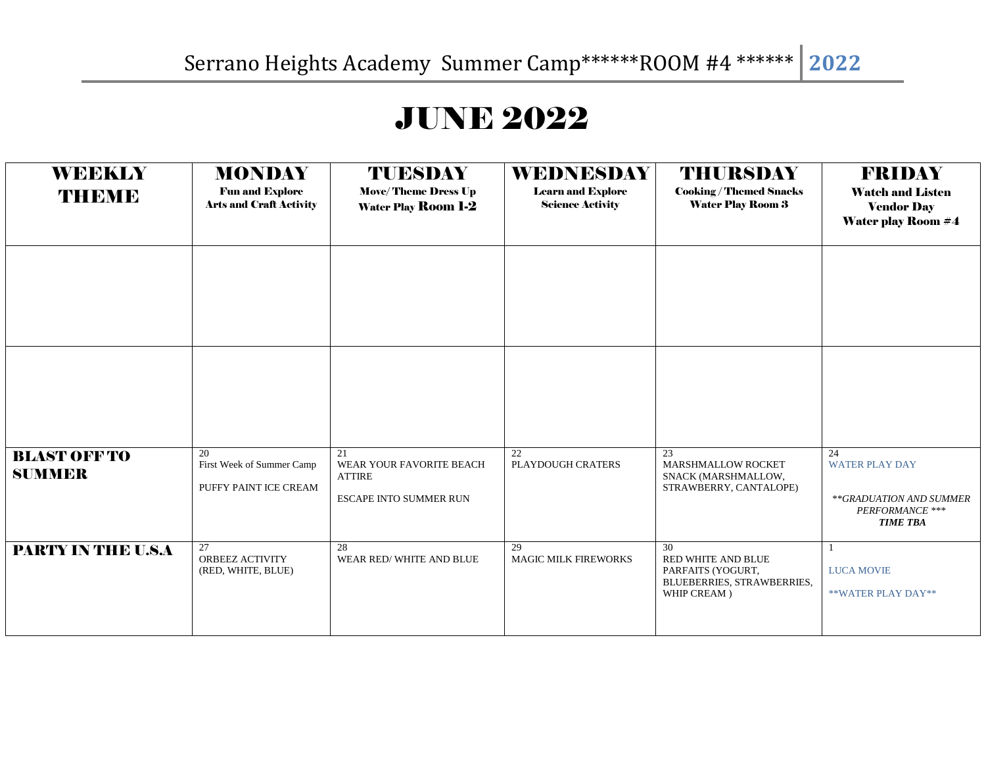## JUNE 2022

| <b>WEEKLY</b><br>THEME               | <b>MONDAY</b><br><b>Fun and Explore</b><br><b>Arts and Craft Activity</b> | TUESDAY<br><b>Move/Theme Dress Up</b><br><b>Water Play Room 1-2</b>              | <b>WEDNESDAY</b><br><b>Learn and Explore</b><br><b>Science Activity</b> | <b>THURSDAY</b><br><b>Cooking/Themed Snacks</b><br><b>Water Play Room 3</b>                | <b>FRIDAY</b><br><b>Watch and Listen</b><br><b>Vendor Day</b><br><b>Water play Room #4</b>   |
|--------------------------------------|---------------------------------------------------------------------------|----------------------------------------------------------------------------------|-------------------------------------------------------------------------|--------------------------------------------------------------------------------------------|----------------------------------------------------------------------------------------------|
|                                      |                                                                           |                                                                                  |                                                                         |                                                                                            |                                                                                              |
|                                      |                                                                           |                                                                                  |                                                                         |                                                                                            |                                                                                              |
| <b>BLAST OFF TO</b><br><b>SUMMER</b> | 20<br>First Week of Summer Camp<br>PUFFY PAINT ICE CREAM                  | 21<br>WEAR YOUR FAVORITE BEACH<br><b>ATTIRE</b><br><b>ESCAPE INTO SUMMER RUN</b> | 22<br>PLAYDOUGH CRATERS                                                 | 23<br><b>MARSHMALLOW ROCKET</b><br>SNACK (MARSHMALLOW,<br>STRAWBERRY, CANTALOPE)           | 24<br><b>WATER PLAY DAY</b><br>**GRADUATION AND SUMMER<br>PERFORMANCE ***<br><b>TIME TBA</b> |
| PARTY IN THE U.S.A                   | 27<br>ORBEEZ ACTIVITY<br>(RED, WHITE, BLUE)                               | 28<br>WEAR RED/WHITE AND BLUE                                                    | 29<br><b>MAGIC MILK FIREWORKS</b>                                       | 30<br>RED WHITE AND BLUE<br>PARFAITS (YOGURT,<br>BLUEBERRIES, STRAWBERRIES,<br>WHIP CREAM) | <b>LUCA MOVIE</b><br>**WATER PLAY DAY**                                                      |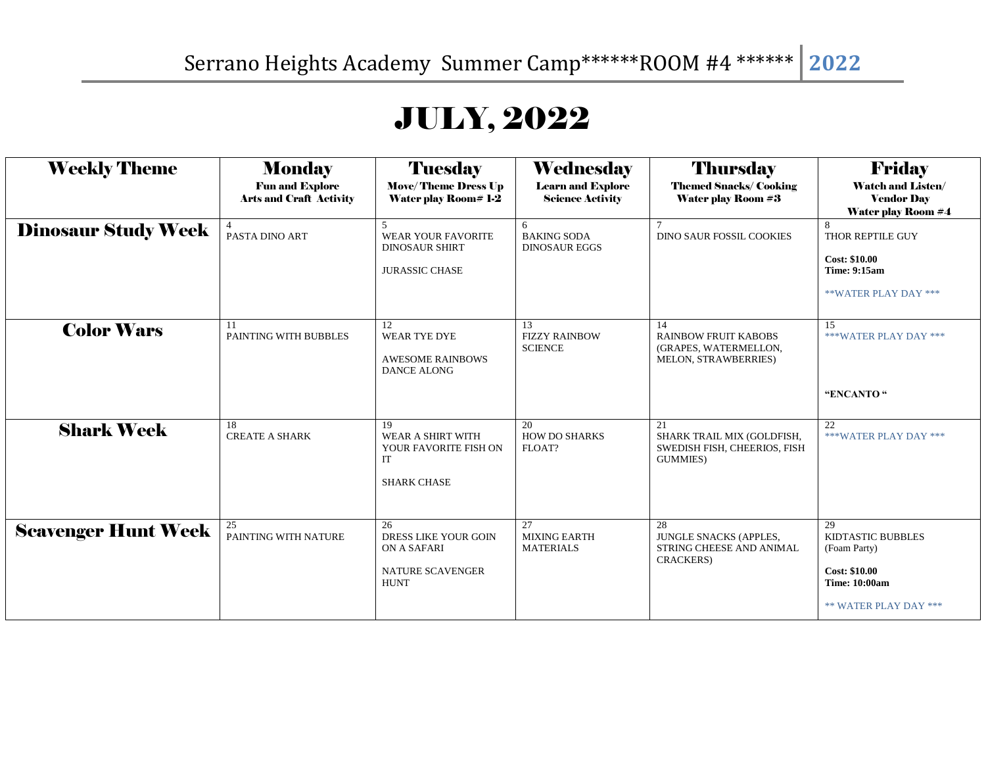## JULY, 2022

| <b>Weekly Theme</b>        | <b>Monday</b><br><b>Fun and Explore</b><br><b>Arts and Craft Activity</b> | <b>Tuesday</b><br><b>Move/Theme Dress Up</b><br><b>Water play Room# 1-2</b>                      | Wednesday<br><b>Learn and Explore</b><br><b>Science Activity</b> | <b>Thursday</b><br><b>Themed Snacks/Cooking</b><br><b>Water play Room #3</b>         | <b>Friday</b><br><b>Watch and Listen/</b><br><b>Vendor Day</b><br><b>Water play Room #4</b>                             |
|----------------------------|---------------------------------------------------------------------------|--------------------------------------------------------------------------------------------------|------------------------------------------------------------------|--------------------------------------------------------------------------------------|-------------------------------------------------------------------------------------------------------------------------|
| <b>Dinosaur Study Week</b> | PASTA DINO ART                                                            | $\overline{\phantom{1}}$<br>WEAR YOUR FAVORITE<br><b>DINOSAUR SHIRT</b><br><b>JURASSIC CHASE</b> | 6<br><b>BAKING SODA</b><br><b>DINOSAUR EGGS</b>                  | <b>DINO SAUR FOSSIL COOKIES</b>                                                      | THOR REPTILE GUY<br><b>Cost: \$10.00</b><br><b>Time: 9:15am</b><br>**WATER PLAY DAY ***                                 |
| <b>Color Wars</b>          | 11<br>PAINTING WITH BUBBLES                                               | 12<br>WEAR TYE DYE<br><b>AWESOME RAINBOWS</b><br><b>DANCE ALONG</b>                              | 13<br><b>FIZZY RAINBOW</b><br><b>SCIENCE</b>                     | 14<br><b>RAINBOW FRUIT KABOBS</b><br>(GRAPES, WATERMELLON,<br>MELON, STRAWBERRIES)   | 15<br>***WATER PLAY DAY ***<br>"ENCANTO"                                                                                |
| <b>Shark Week</b>          | 18<br><b>CREATE A SHARK</b>                                               | 19<br>WEAR A SHIRT WITH<br>YOUR FAVORITE FISH ON<br>IT<br><b>SHARK CHASE</b>                     | 20<br><b>HOW DO SHARKS</b><br>FLOAT?                             | 21<br>SHARK TRAIL MIX (GOLDFISH,<br>SWEDISH FISH, CHEERIOS, FISH<br><b>GUMMIES</b> ) | 22<br>***WATER PLAY DAY ***                                                                                             |
| <b>Scavenger Hunt Week</b> | 25<br>PAINTING WITH NATURE                                                | 26<br>DRESS LIKE YOUR GOIN<br>ON A SAFARI<br>NATURE SCAVENGER<br><b>HUNT</b>                     | 27<br><b>MIXING EARTH</b><br><b>MATERIALS</b>                    | 28<br><b>JUNGLE SNACKS (APPLES,</b><br>STRING CHEESE AND ANIMAL<br>CRACKERS)         | 29<br><b>KIDTASTIC BUBBLES</b><br>(Foam Party)<br><b>Cost: \$10.00</b><br><b>Time: 10:00am</b><br>** WATER PLAY DAY *** |